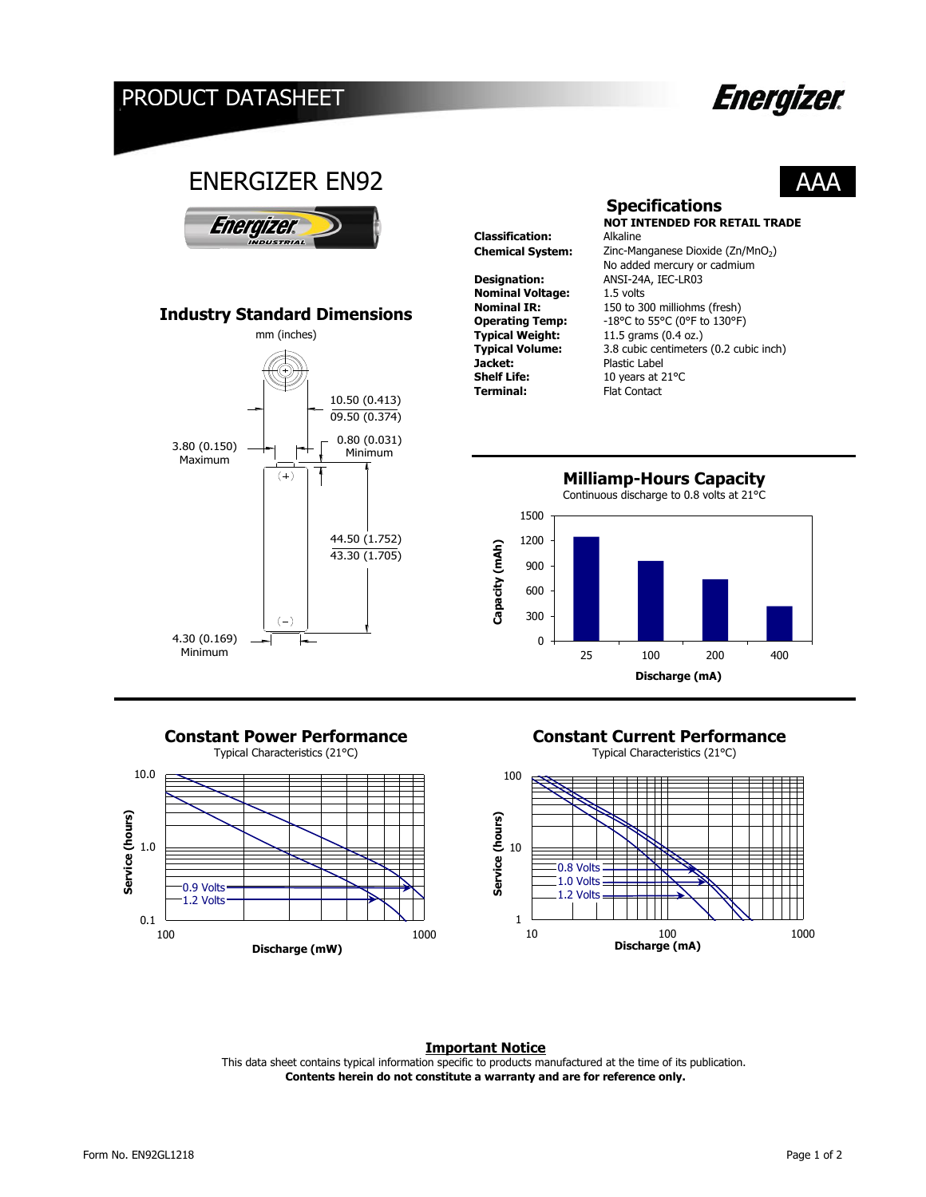## PRODUCT DATASHEET

# **Energizer.**

AAA



44.50 (1.752) 43.30 (1.705)

Continuous discharge to 0.8 volts at 21°C



 $(-)$ 

4.30 (0.169) Minimum



# **Constant Power Performance**<br> **Constant Current Performance**<br> **Constant Current Performance**<br> **Constant Current Performance**

Typical Characteristics (21°C)



#### **Important Notice**

**Contents herein do not constitute a warranty and are for reference only.** This data sheet contains typical information specific to products manufactured at the time of its publication.